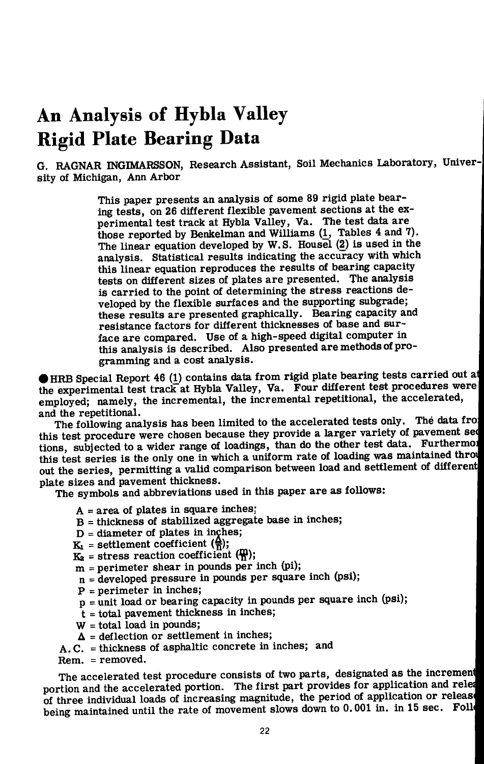# **An Analysis of Hybla Valley Rigid Plate Bearing Data**

G. RAGNAR INGIMARSSON, Research Assistant, Soil Mechanics Laboratory, University of Michigan, Ann Arbor

> This paper presents an analysis of some 89 rigid plate bearing tests, on 26 different flexible pavement sections at the experimental test track at Hybla Valley, Va. The test data are those reported by Benkelman and Williams (1\_, Tables 4 and 7). The linear equation developed by W.S. Housel (2) is used in the analysis. Statistical results indicating the accuracy with which this linear equation reproduces the results of bearing capacity tests on different sizes of plates are presented. The analysis is carried to the point of determining the stress reactions developed by the flexible surfaces and the supporting subgrade; these results are presented graphically. Bearing capacity and resistance factors for different thicknesses of base and surface are compared. Use of a high-speed digital computer in this analysis is described. Also presented are methods of programming and a cost analysis.

# HRB Special Report 46 *(})* contains data from rigid plate bearing tests carried out all the experimental test track at Hybla Valley, Va. Four different test procedures were employed; namely, the incremental, the incremental repetitional, the accelerated, ' and the repetitional.

The following analysis has been limited to the accelerated tests only. The data froi this test procedure were chosen because they provide a larger variety of pavement sed tions, subjected to a wider range of loadings, than do the other test data. Furthermol this test series is the only one in which a uniform rate of loading was maintained through out the series, permitting a valid comparison between load and settlement of differenti plate sizes and pavement thickness.

The symbols and abbreviations used in this paper are as follows:

- A = area of plates in square inches:
- B = thickness of stabilized aggregate base in inches;
- $D =$  diameter of plates in inches;
- $K_1$  = settlement coefficient ( $\frac{A}{D}$ );
- $K_2$  = stress reaction coefficient ( $\frac{m}{n}$ );
- $m$  = perimeter shear in pounds per inch (pi);
- n = developed pressure in pounds per square inch (psi);
- $P = perimeter in inches;$
- p = unit load or bearing capacity in pounds per square inch (psi);
- t = total pavement thickness in inches;
- W = total load in pounds;
- $\Delta$  = deflection or settlement in inches;
- A.C. = thickness of asphaltic concrete in inches; and

Rem. = removed.

The accelerated test procedure consists of two parts, designated as the increment portion and the accelerated portion. The first part provides for application and release portion. of three individual loads of increasing magnitude, the period of application or releas being maintained until the rate of movement slows down to  $0.001$  in. in 15 sec. Foll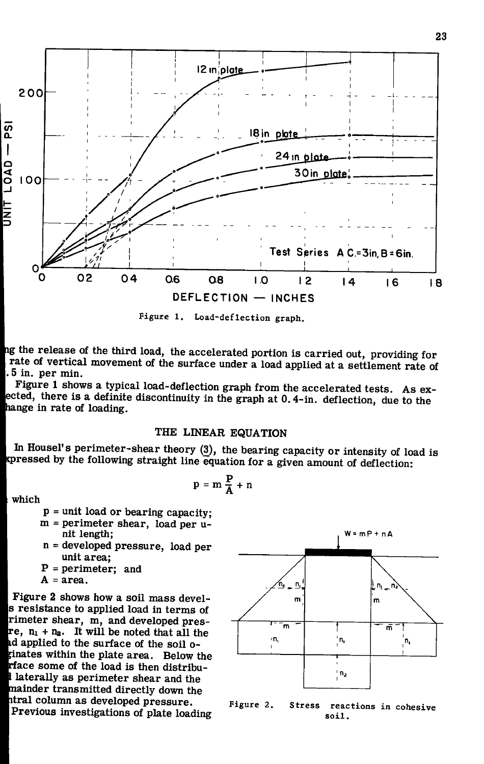

Figure 1. Load-deflection graph.

ng the release of the third load, the accelerated portion is carried out, providing for rate of vertical movement of the surface under a load applied at a settlement rate of 5 in. per min.

Figure 1 shows a typical load-deflection graph from the accelerated tests. As exected, there is a definite discontinuity in the graph at 0.4-in. deflection, due to the hange in rate of loading.

## THE LINEAR EQUATION

In Housel's perimeter-shear theory (3), the bearing capacity or intensity of load is kpressed by the following straight line equation for a given amount of deflection:

> P  $- A$   $-$

<sup>I</sup> which

 $p =$  unit load or bearing capacity;

- m = perimeter shear, load per unit length;
- n = developed pressure, load per unit area;

 $P = perimeter;$  and

 $A = area$ .

Figure 2 shows how a soil mass devels resistance to applied load in terms of rimeter shear, m, and developed presre,  $n_1 + n_2$ . It will be noted that all the id applied to the surface of the soil o- ;inates within the plate area. Below the frface some of the load is then distribulaterally as perimeter shear and the mainder transmitted directly down the itral column as developed pressure. Previous investigations of plate loading



Figure 2. Stress reactions in cohesive soil .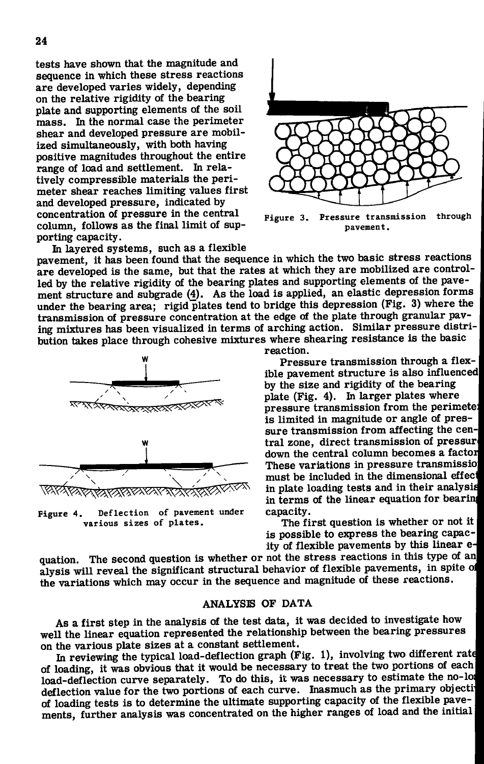tests have shown that the magnitude and sequence in which these stress reactions are developed varies widely, depending on the relative rigidity of the bearing plate and supporting elements of the soil mass. In the normal case the perimeter shear and developed pressure are mobilized simultaneously, with both having positive magnitudes throughout the entire range of load and settlement. In relatively compressible materials the perimeter shear reaches limiting values first and developed pressure, indicated by concentration of pressure in the central column, follows as the final limit of supporting capacity.



Figure 3. Pressure transmission pavement, through

In layered systems, such as a flexible pavement, it has been found that the sequence in which the two basic stress reactions are developed is the same, but that the rates at which they are mobilized are controlled by the relative rigidity of the bearing plates and supporting elements of the pavement structure and subgrade (4). As the load is applied, an elastic depression forms under the bearing area; rigid plates tend to bridge this depression (Fig. 3) where the transmission of pressure concentration at the edge of the plate through granular paving mixtures has been visualized in terms of arching action. Similar pressure distribution takes place through cohesive mixtures where shearing resistance is the basic



Figure 4. Deflection of pavement under various sizes of plates .

reaction.

Pressure transmission through a flexible pavement structure is also influenced by the size and rigidity of the bearing plate (Fig. 4). In larger plates where pressure transmission from the perimete: is limited in magnitude or angle of pressure transmission from affecting the central zone, direct transmission of pressure down the central column becomes a factor These variations in pressure transmissioj must be included in the dimensional effect in plate loading tests and in their analysis^ in terms of the linear equation for bearing capacity.

The first question is whether or not it | is possible to express the bearing capacity of flexible pavements by this linear e-

quation. The second question is whether or not the stress reactions in this type of an alysis will reveal the significant structural behavior of flexible pavements, in spite of the variations which may occur in the sequence and magnitude of these reactions.

#### ANALYSIS OF DATA

As a first step in the analysis of the test data, it was decided to investigate how well the linear equation represented the relationship between the bearing pressures on the various plate sizes at a constant settlement.

In reviewing the typical load-deflection graph (Fig. 1), involving two different rate of loading, it was obvious that it would be necessary to treat the two portions of each load-deflection curve separately. To do this, it was necessary to estimate the no-load deflection value for the two portions of each curve. Inasmuch as the primary objecti of loading tests is to determine the ultimate supporting capacity of the flexible pavements, further analysis was concentrated on the higher ranges of load and the initial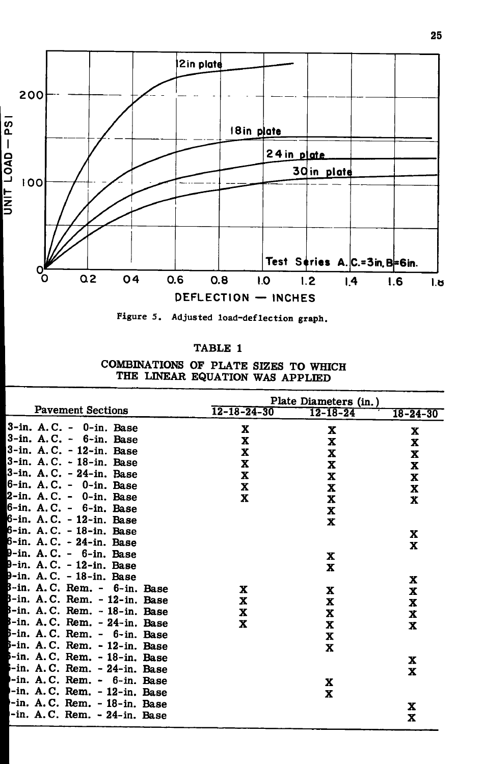



| <b>TABLE</b> |  |
|--------------|--|
|              |  |

COMBINATIONS OF PLATE SIZES TO WHICH THE LINEAR EQUATION WAS APPLIED

|                                            | Plate Diameters (in.) |                |                |
|--------------------------------------------|-----------------------|----------------|----------------|
| <b>Pavement Sections</b>                   | $12 - 18 - 24 - 30$   | $12 - 18 - 24$ | $18 - 24 - 30$ |
| $3$ -in. A.C. - $0$ -in. Base              | $\mathbf x$           | X              | X              |
| $3$ -in. A.C. - $6$ -in. Base              | x                     | X              | X              |
| 3-in. A.C. - 12-in. Base                   | X                     | x              | x              |
| 3-in. A.C. - 18-in. Base                   | x                     | X              | X              |
| 3-in. A.C. - 24-in. Base                   | X                     | X              | X              |
| 6-in. A.C. - 0-in. Base                    | X                     | X              | X              |
| 2-in. A.C. - 0-in. Base                    | X                     | X              | $\mathbf x$    |
| 6-in. A.C. - 6-in. Base                    |                       | X              |                |
| 6-in. A.C. - 12-in. Base                   |                       | $\mathbf x$    |                |
| 6-in. A.C. - 18-in. Base                   |                       |                | x              |
| 6-in. A.C. - 24-in. Base                   |                       |                | $\mathbf x$    |
| 9-in. A.C. - 6-in. Base                    |                       | X              |                |
| 9-in. A.C. - 12-in. Base                   |                       | x              |                |
| 9-in. A.C. - 18-in. Base                   |                       |                | X              |
| B-in. A.C. Rem. - 6-in. Base               | x                     | X              | X              |
| B-in. A.C. Rem. - 12-in. Base              | x                     | x              | X              |
| $B-in. A.C. Rem. - 18-in. Base$            | x                     | x              | X              |
| $3$ -in. A.C. Rem. $-24$ -in. Base         | x                     | x              | X              |
| $\beta$ -in. A.C. Rem. - $\beta$ -in. Base |                       | x              |                |
| β-in. A.C. Rem. - 12-in. Base              |                       | x              |                |
| 5-in. A.C. Rem. - 18-in. Base              |                       |                | X              |
| $-$ in. A.C. Rem. $-$ 24-in. Base          |                       |                | $\mathbf x$    |
| -in. A.C. Rem. - 6-in. Base                |                       | X              |                |
| -in. A.C. Rem. - 12-in. Base               |                       | X              |                |
| -in. A.C. Rem. - 18-in. Base               |                       |                | x              |
| -in. A.C. Rem. - 24-in. Base               |                       |                | X              |
|                                            |                       |                |                |

25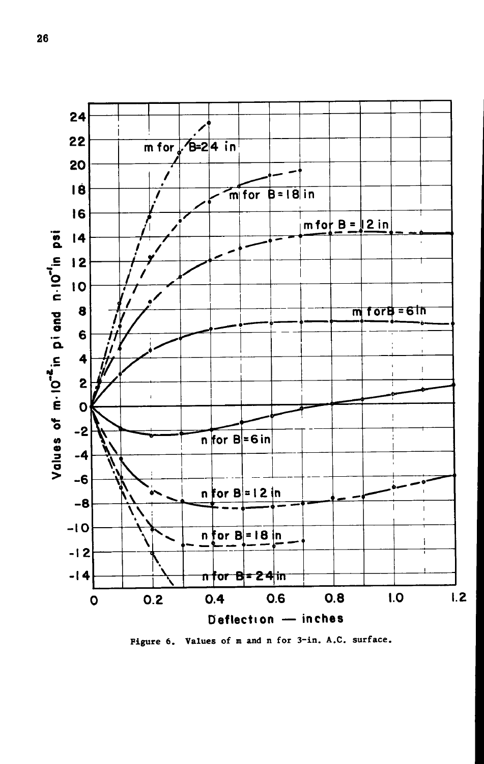

Figure 6. Values of m and n for 3-in. A.C. surface.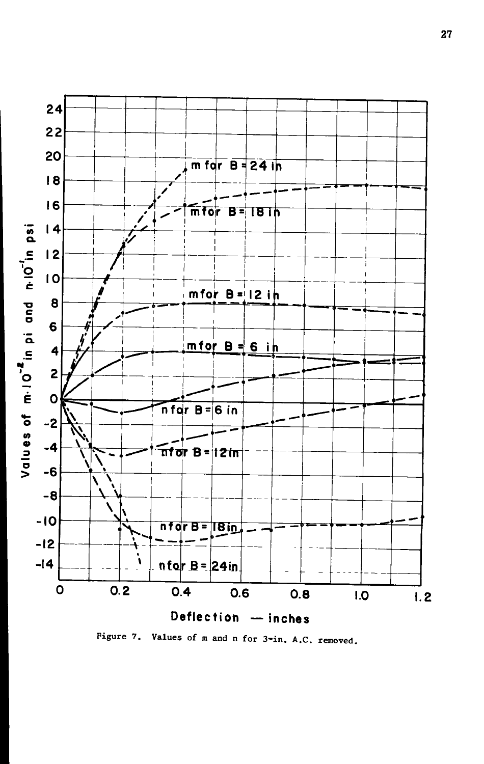

Figure 7. Values of m and n for 3-in. A.C. removed.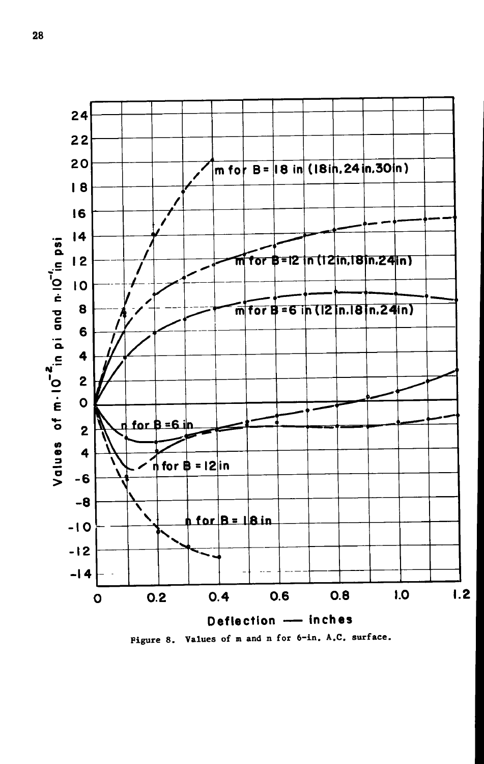

Figure 8. Values of m and n for 6-in. A.C. surface.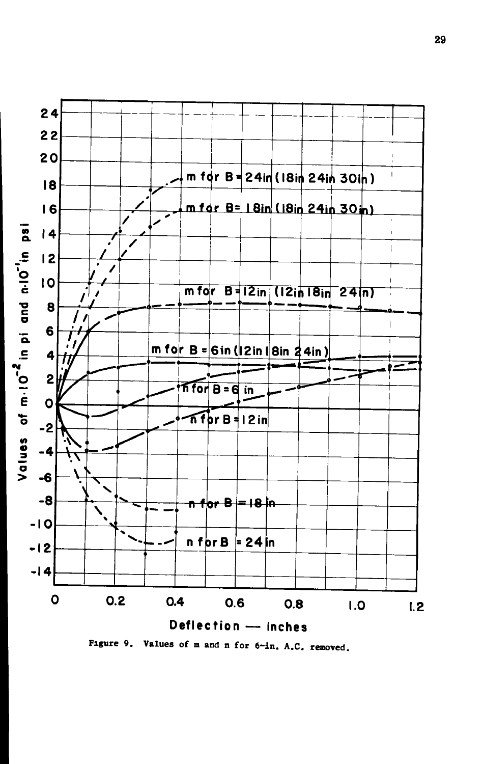

Figure 9. Values of m and n for 6-in. A.C. removed.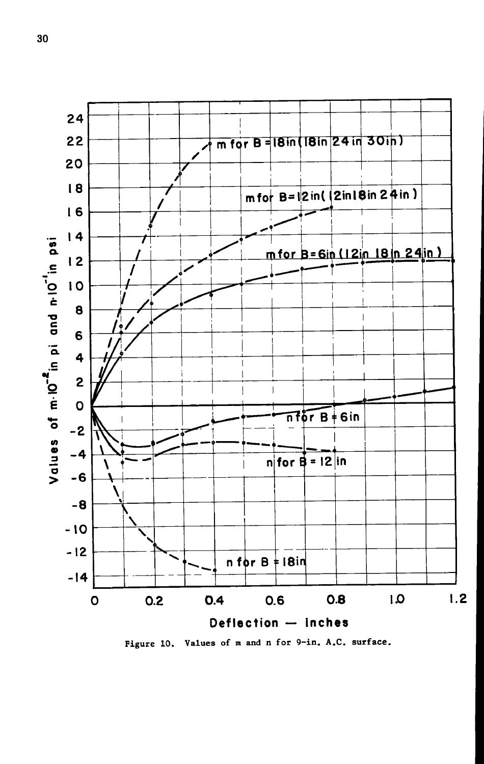

Figure 10. Values of m and n for 9-in. A.C. surface.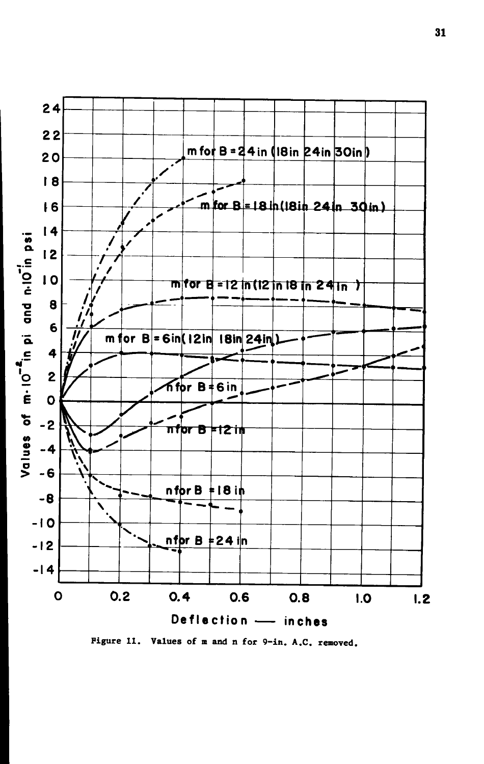

Figure 11. Values of m and n for 9-in. A.C. removed.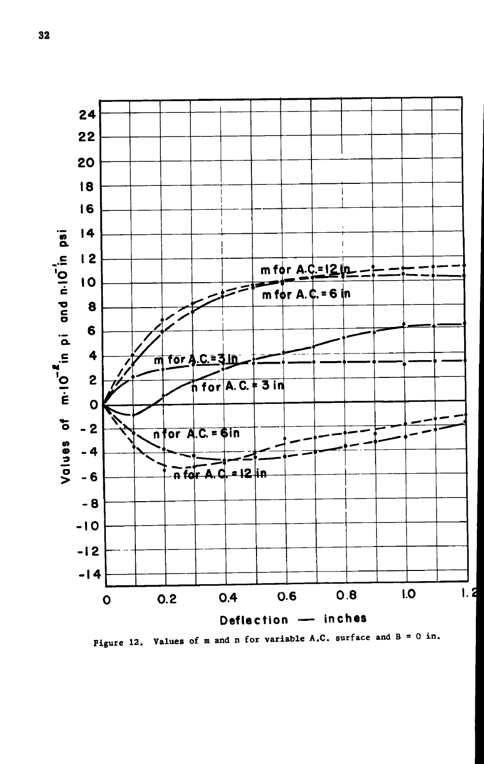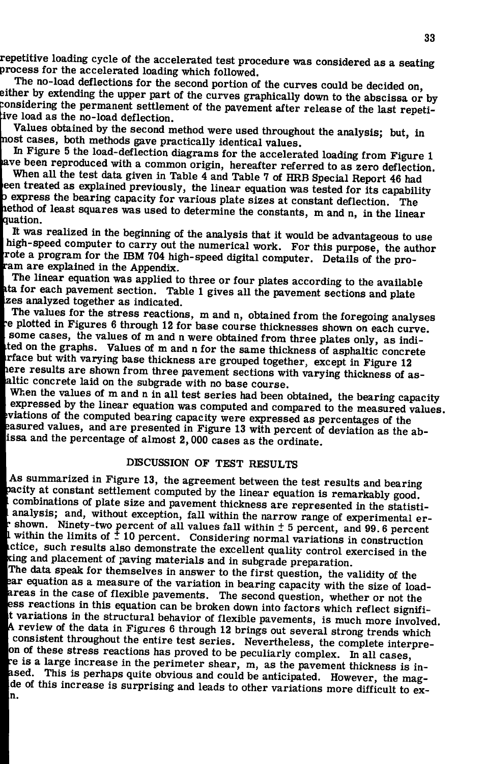**repetitive loading cycle of the accelerated test procedure was considered as a seating process for the accelerated loading which followed.** 

**The no-load deflections for the second portion of the curves could be decided on, either by extending the upper part of the curves graphically down to the abscissa or by ::onsidering the permanent settlement of the pavement after release of the last repetitive load as the no-load deflection.** 

**Values obtained by the second method were used throughout the analysis; but, in nost cases, both methods gave practically identical values.** 

**In Figure 5 the load-deflection diagrams for the accelerated loading from Figure 1 ave been reproduced with a common origin, hereafter referred to as zero deflection.** 

**When all the test data given in Table 4 and Table 7 of HRB Special Report 46 had een treated as explained previously, the linear equation was tested for its capability J express the bearing capacity for various plate sizes at constant deflection. The lethod of least squares was used to determine the constants, m and n, in the linear quation.** 

**It was realized in the beginning of the analysis that it would be advantageous to use high-speed computer to carry out the numerical work. For this purpose, the author Tote a program for the IBM 704 high-speed digital computer. Details of the proram are explained in the Appendix.** 

**The linear equation was applied to three or four plates according to the available ita for each pavement section. Table 1 gives all the pavement sections and plate zes analyzed together as indicated.** 

**The values for the stress reactions, m and n, obtained from the foregoing analyses •e plotted in Figures 6 through 12 for base course thicknesses shown on each curve, some cases, the values of m and n were obtained from three plates only, as indi- .ted on the graphs. Values of m and n for the same thickness of asphaltic concrete irface but with varying base thickness are grouped together, except in Figure 12**  here results are shown from three pavement sections with varying thickness of as**laltic concrete laid on the subgrade with no base course.** 

**When the values of m and n in all test series had been obtained, the bearing capacity expressed by the linear equation was computed and compared to the measured values, tviations of the computed bearing capacity were expressed as percentages of the sasured values, and are presented in Figure 13 with percent of deviation as the abissa and the percentage of almost 2,000 cases as the ordinate.** 

# **DISCUSSION OF TEST RESULTS**

**As summarized in Figure 13, the agreement between the test results and bearing**   $\frac{A}{p}$ **icity at constant settlement computed by the linear equation is remarkably good, combinations of plate size and pavement thickness are represented in the statistianalysis; and, without exception, fall within the narrow range of experimental ershown. Ninety-two percent of all values fall within + 5 percent, and 99.6 percent**  t<br>Lipped<br>Lipped **within the limits of** *t* **10 percent. Considering normal variations in construction .ctice, such results also demonstrate the excellent quality control exercised in the cing and placement of paving materials and in subgrade preparation.** 

**jThe data speak for themselves in answer to the first question, the validity of the fcar equation as a measure of the variation in bearing capacity with the size of load areas in the case of flexible pavements.** The second question, whether or not the ess reactions in this equation can be broken down into factors which reflect signifi**t variations in the structural behavior of flexible pavements, is much more involved. \ review of the data in Figures 6 through 12 brings out several strong trends which consistent throughout the entire test series. Nevertheless, the complete interprelon of these stress reactions has proved to be peculiarly complex. In all cases, ^e is a large increase in the perimeter shear, m, as the pavement thickness is inised. This is perhaps quite obvious and could be anticipated. However, the mag-Jde of this increase is surprising and leads to other variations more difficult to ex- |n.**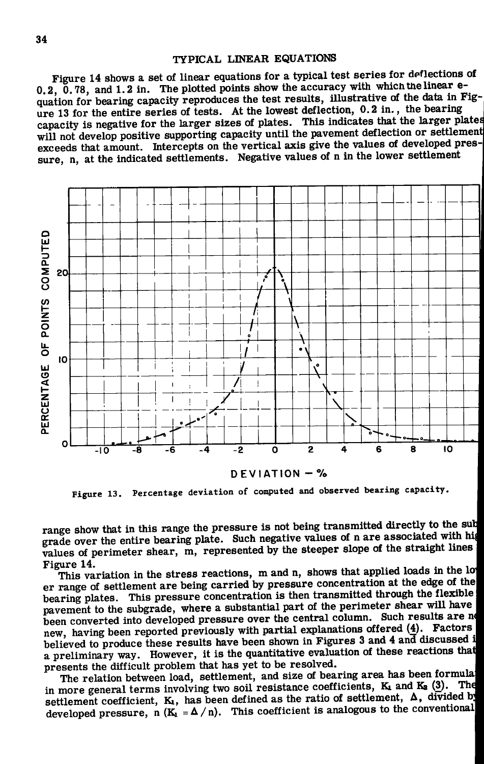### TYPICAL LINEAR EQUATIONS

Figure 14 shows a set of linear equations for a typical test series for deflections of 0.2, 0.78, and 1.2 in. The plotted points show the accuracy with which the linear equation for bearing capacity reproduces the test results, illustrative of the data in Figure 13 for the entire series of tests. At the lowest deflection, 0.2 in., the bearing capacity is negative for the larger sizes of plates. This indicates that the larger plates will not develop positive supporting capacity until the pavement deflection or settlement exceeds that amount. Intercepts on the vertical axis give the values of developed pressure, n, at the indicated settlements. Negative values of n in the lower settlement



**Figure 13. Percentage deviation of computed and observed bearing capacity.** 

range show that in this range the pressure is not being transmitted directly to the sub grade over the entire bearing plate. Such negative values of n are associated with hip values of perimeter shear, m, represented by the steeper slope of the straight lines Figure 14.

This variation in the stress reactions, m and n, shows that applied loads in the lo er range of settlement are being carried by pressure concentration at the edge of the bearing plates. This pressure concentration is then transmitted through the flexible ' pavement to the subgrade, where a substantial part of the perimeter shear will have been converted into developed pressure over the central column. Such results are no new, having been reported previously with partial explanations offered (4). Factors ' believed to produce these results have been shown in Figures 3 and 4 and discussed i a preliminary way. However, it is the quantitative evaluation of these reactions thati presents the difficult problem that has yet to be resolved.

The relation between load, settlement, and size of bearing area has been formula! in more general terms involving two soil resistance coefficients,  $K_1$  and  $K_2$  (3). settlement coefficient, K<sub>1</sub>, has been defined as the ratio of settlement,  $\Delta$ , divided by developed pressure, n  $(K_1 = \Delta/n)$ . This coefficient is analogous to the conventional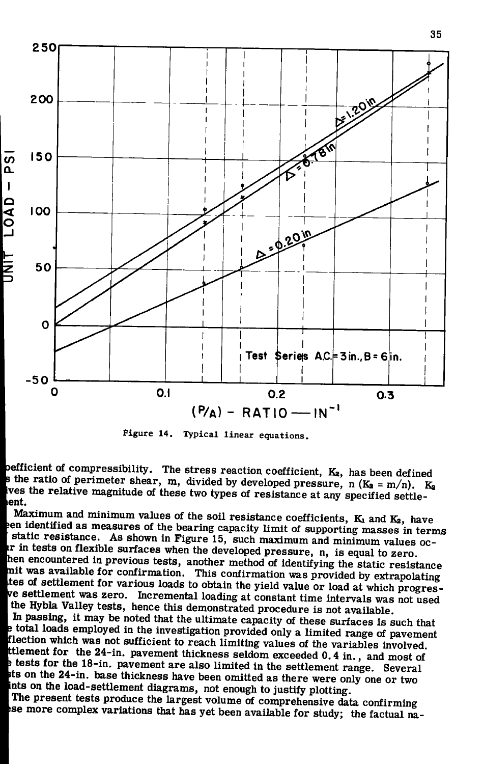

Figure 14. Typical linear equations.

pefficient of compressibility. The stress reaction coefficient,  $K_2$ , has been defined s the ratio of perimeter shear, m, divided by developed pressure, n  $(K_2 = m/n)$ .  $K_2$ ves the relative magnitude of these two types of resistance at any specified settlelent.

Maximum and minimum values of the soil resistance coefficients,  $K_1$  and  $K_2$ , have een identified as measures of the bearing capacity limit of supporting masses in terms static resistance. As shown in Figure 15, such maximum and minimum values ocir in tests on flexible surfaces when the developed pressure, n, is equal to zero. hen encountered in previous tests, another method of identifying the static resistance mit was available for confirmation. This confirmation was provided by extrapolating tes of settlement for various loads to obtain the yield value or load at which progresve settlement was zero. Incremental loading at constant time intervals was not used the Hybla Valley tests, hence this demonstrated procedure is not available.

In passing, it may be noted that the ultimate capacity of these surfaces is such that e total loads employed in the investigation provided only a limited range of pavement flection which was not sufficient to reach limiting values of the variables involved. ttlement for the 24-in. pavement thickness seldom exceeded 0.4 in., and most of e tests for the 18-in. pavement are also limited in the settlement range. Several ts on the 24-in. base thickness have been omitted as there were only one or two ints on the load-settlement diagrams, not enough to justify plotting.

The present tests produce the largest volume of comprehensive data confirming se more complex variations that has yet been available for study; the factual na-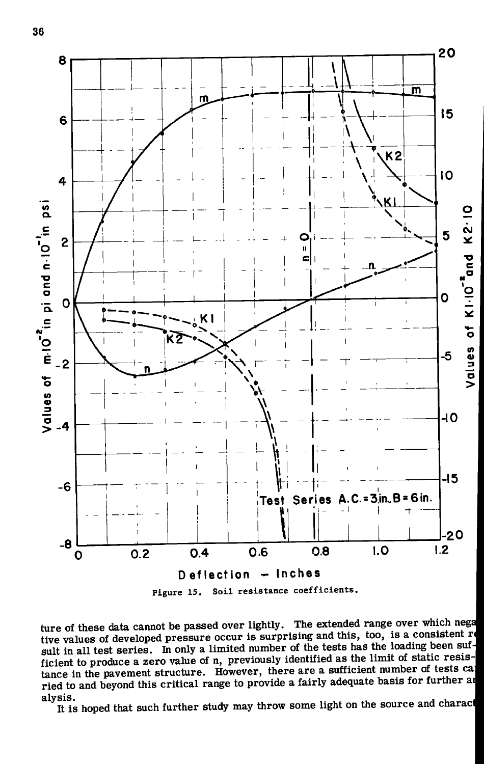

ture of these data cannot be passed over lightly. The extended range over which nega **tive values of developed pressure occur is surprising and this, too, is a consistent** *rm*  sult in all test series. In only a limited number of the tests has the loading been sufficient to produce a zero value of n, previously identified as the limit of static resistance in the pavement structure. However, there are a sufficient number of tests cap **ried to and beyond this critical range to provide a fairly adequate basis for further at alysis.** 

**It is hoped that such further study may throw some light on the source and characi**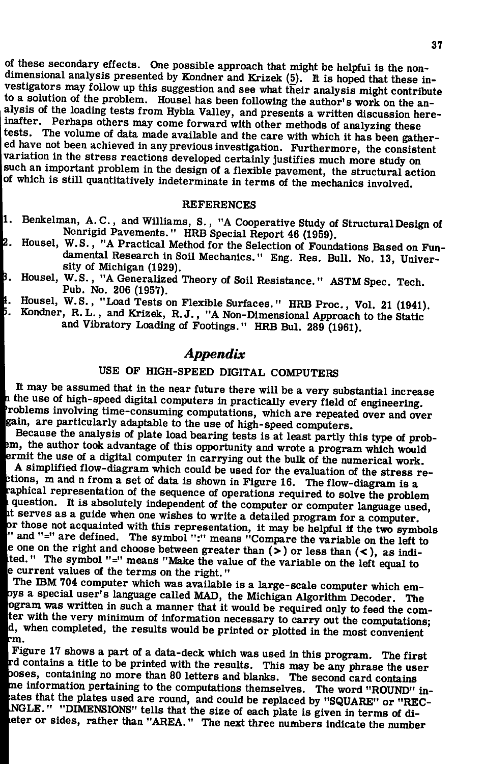of these secondary effects. One possible approach that might be helpful is the nondimensional analysis presented by Kondner and Krizek (5). It is hoped that these investigators may follow up this suggestion and see what their analysis might contribute<br>to a solution of the problem. Housel has been following the author's work on the analysis of the loading tests from Hybla Valley, and presents a written discussion hereinafter. Perhaps others may come forward with other methods of analyzing these tests. The volume of data made available and the care with which it has been gathered have not been achieved in any previous investigation. Furthermore, the consistent variation in the stress reactions developed certainly justifies much more study on such an important problem in the design of a flexible pavement, the structural action of which is still quantitatively indeterminate in terms of the mechanics involved.

#### **REFERENCES**

- $\epsilon$  R  $\mu$  Cooperations 1. Benkelman, A.C, and Williams, S., "A Cooperative Study of Structural Design of Nonrigid Pavements." HRB Special Report 46 (1959).<br>W.S., "A Practical Method for the Selection of Founds
- 2. Housel, W.S., A Practical Method for the Selection of Foundations Based on Fun-<br>damental Research in Soil Mechanics " From Pes. Pull, No. 12, Universe damental Research in Soil Mechanics." Eng. Res. Bull. No. 13, Univer-<br>sity of Michigan (1929). sity of Michigan (1929).<br>W.S., "A Generalized 7
- В. Housel, W.S., "A Generalized Theory of Soil Resistance." ASTM Spec. Tech. Pub. No. 206 (1957).<br>Housel, W.S., "Load Tests on Flexible Surfaces." HRB Proc., Vol. 21 (1941).
- ₿. Housel, W.S., "Load Tests on Flexible Surfaces." HRB Proc., Vol. 21 (1941).<br>Kondner, R.L., and Krizek, R.J., "A Non-Dimensional Approach to the Statio
- Б.  $K$ -bitchconder, R. L., and Krizdch, R. J.,  $K$  Non-Dimensional Approach to the Static and Vibratory Loading of Footings " HPB Bull 980 (1061) and Vibratory Loading of Footings." HRB Bul. 289 (1961).

# *Appendi x*

# USE OF HIGH-SPEED DIGITAL COMPUTERS

It may be assumed that in the near future there will be a very substantial increase  **the use of high-speed digital computers in practically every field of engineering.** roblems involving time-consuming computations, which are repeated over and over Igain, are particularly adaptable to the use of high-speed computers.

Because the analysis of plate load bearing tests is at least partly this type of probim, the author took advantage of this opportunity and wrote a program which would ermit the use of a digital computer in carrying out the bulk of the numerical work.

 $\begin{bmatrix} 1 \\ 1 \\ 2 \end{bmatrix}$ A simplified flow-diagram which could be used for the evaluation of the stress retions, m and n from a set of data is shown in Figure 16. The flow-diagram is a aphical representation of the sequence of operations required to solve the problem question. It is absolutely independent of the computer or computer language used, It serves as a guide when one wishes to write a detailed program for a computer,<br>or those not acquainted with this representation, it may be helpful if the two symbols<br>"and "=" are defined. The symbol ":" means "Compare th it serves as a guide when one wishes to write a detailed program for a computer, " and "=" are defined. The symbol ":" means "Compare the variable on the left to le one on the right and choose between greater than  $(>)$  or less than  $( < )$ , as indited. " The symbol "=" means "Make the value of the variable on the left equal to e current values of the terms on the right."

The IBM 704 computer which was available is a large-scale computer which em oys a special user's language called MAD, the Michigan Algorithm Decoder. The ogram was written in such a manner that it would be required only to feed the comter with the very minimum of information necessary to carry out the computations; d, when completed, the results would be printed or plotted in the most convenient :m.

Figure 17 shows a part of a data-deck which was used in this program. The first tu<br>DO<br>Tat<br>N rd contains a title to be printed with the results. This may be any phrase the user loses, containing no more than 80 letters and blanks. The second card contains ne information pertaining to the computations themselves. The word "ROUND" inates that the plates used are round, and could be replaced by "SQUARE" or "REC- .NGLE." "DIMENSIONS" tells that the size of each plate is given in terms of dileter or sides, rather than "AREA." The next three numbers indicate the number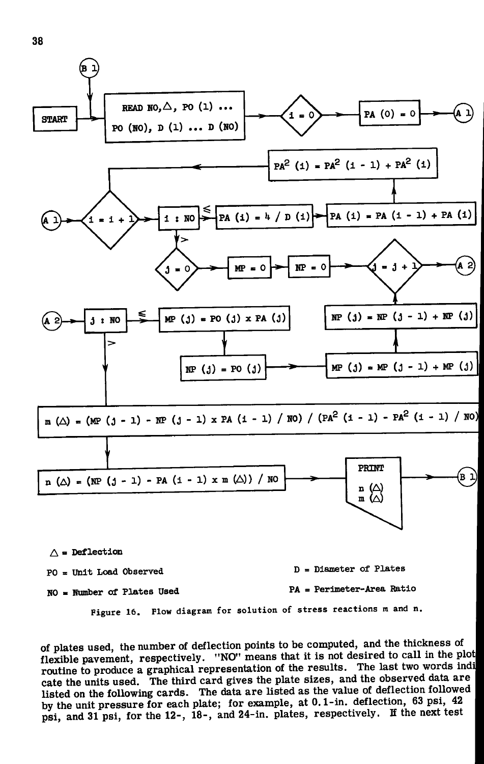

A **= Deflection** 

- **PO** = Unit Load Observed **D** = Diameter of Plates
- 

**NO = Number of Plates Used PA = Perimeter-Area Ratio** 

Figure 16. Flow diagram for solution of stress reactions m and n.

of plates used, the number of deflection points to be computed, and the thickness of flexible pavement, respectively. "NO" means that it is not desired to call in the plot routine to produce a graphical representation of the results. The last two words indi cate the units used. The third card gives the plate sizes, and the observed data are ' listed on the following cards. The data are listed as the value of deflection followed by the unit pressure for each plate; for example, at 0.1-in. deflection, 63 psi, 42 psi, and 31 psi, for the 12-, 18-, and 24-in. plates, respectively. If the next test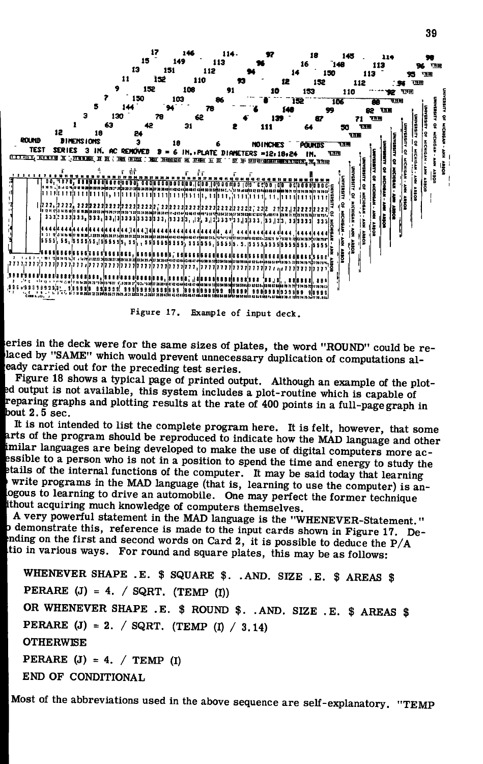

Figure 17. Example of input deck.

eries in the deck were for the same sizes of plates, the word "ROUND" could be relaced by "SAME" which would prevent unnecessary duplication of computations aleady carried out for the preceding test series.

Figure 18 shows a typical page of printed output. Although an example of the ploted output is not available, this system includes a plot-routine which is capable of reparing graphs and plotting results at the rate of 400 points in a full-page graph in bout  $2.5$  sec.

It is not intended to list the complete program here. It is felt, however, that some arts of the program should be reproduced to indicate how the MAD language and other imilar languages are being developed to make the use of digital computers more acessible to a person who is not in a position to spend the time and energy to study the etails of the internal functions of the computer. It may be said today that learning<br>write programs in the MAD language (that is, learning to use the computer) is anlogous to learning to drive an automobile. One may perfect the former technique ithout acquiring much knowledge of computers themselves.

A very powerful statement in the MAD language is the "WHENEVER-Statement." p demonstrate this, reference is made to the input cards shown in Figure 17. Deanding on the first and second words on Card 2, it is possible to deduce the  $P/A$ tio in various ways. For round and square plates, this may be as follows:

WHENEVER SHAPE .E. \$ SQUARE \$. .AND. SIZE .E. \$ AREAS \$ PERARE  $(J) = 4. / SQRT$ . (TEMP (I)) OR WHENEVER SHAPE .E. \$ ROUND \$. .AND. SIZE .E. \$ AREAS \$ PERARE (J) = 2. / SQRT. (TEMP (I) / 3.14) **OTHERWISE** PERARE (J) = 4. / TEMP (I) END OF CONDITIONAL

Most of the abbreviations used in the above sequence are self-explanatory. "TEMP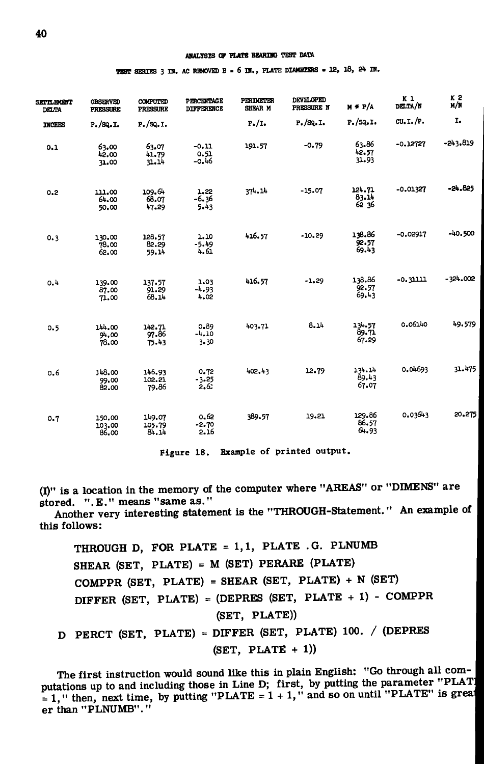TEST SERIES 3 IN. AC REMOVED B = 6 IN., PLATE DIAMETERS = 12, 18, 24 IN.

| <b>SEPTLEMENT</b><br><b>DELTA</b> | <b>OBSERVED</b><br><b>PRESSURE</b> | COMPUTED<br><b>PRESSURE</b> | <b>PERCENTAGE</b><br><b>DIFFERENCE</b> | <b>PERIMETER</b><br>SHEAR M | <b>DEVELOPED</b><br>PRESSURE N | $M + P/A$                | K <sub>1</sub><br>DELTA/N | <b>K2</b><br>M/N |
|-----------------------------------|------------------------------------|-----------------------------|----------------------------------------|-----------------------------|--------------------------------|--------------------------|---------------------------|------------------|
| <b>INCHES</b>                     | $P.$ /SQ.I.                        | P. / SQ. I.                 |                                        | $P_{\bullet}/I_{\bullet}$   | $P.$ /SQ.I.                    | P. / SQ. I.              | CU.I.P.                   | I.               |
| 0.1                               | 63.00<br>42.00<br>31.00            | 63.07<br>41.79<br>31.14     | $-0.11$<br>0.51<br>$-0.46$             | 191.57                      | $-0.79$                        | 63.86<br>42.57<br>31.93  | $-0.12727$                | $-243.819$       |
| 0.2                               | 111.00<br>64.00<br>50.00           | 109.64<br>68.07<br>47.29    | 1.22<br>-6.36<br>5.43                  | 374, 14                     | $-15.07$                       | 124.71<br>83.14<br>62 36 | $-0.01327$                | $-24.825$        |
| 0.3                               | 130.00<br>78.00<br>62.00           | 128.57<br>82.29<br>59.14    | 1.10<br>$-5.49$<br>4.61                | 416.57                      | $-10.29$                       | 138.86<br>92.57<br>69.43 | $-0.02917$                | $-40.500$        |
| 0.4                               | 139.00<br>87.00<br>71.00           | 137.57<br>91.29<br>68.14    | 1.03<br>$-4.93$<br>4.02                | 416.57                      | $-1.29$                        | 138.86<br>92.57<br>69.43 | -0.31111                  | $-324.002$       |
| 0.5                               | 144.00<br>94.00<br>78.00           | 142.71<br>97.86<br>75.43    | 0.89<br>$-4.10$<br>3.30                | 403.71                      | 8.14                           | 134.57<br>89.71<br>67.29 | 0.06140                   | 49.579           |
| 0.6                               | 148.00<br>99.00<br>82.00           | 146.93<br>102.21<br>79.86   | 0.72<br>$-3.25$<br>2,6                 | 402.43                      | 12.79                          | 134.14<br>89.43<br>67.07 | 0.04693                   | 31.475           |
| 0.7                               | 150.00<br>103.00<br>86.00          | 149.07<br>105.79<br>84.14   | 0.62<br>$-2.70$<br>2.16                | 389.57                      | 19.21                          | 129.86<br>86.57<br>64.93 | 0.03643                   | 20.275           |

Figure 18. Example of printed output.

(I)" is a location in the memory of the computer where "AREAS" or "DIMENS" are stored. ".E." means "same as."

Another very interesting statement is the "THROUGH-Statement." An example of this follows:

THROUGH D, FOR PLATE = 1,1, PLATE .G. PLNUMB SHEAR (SET, PLATE) = M (SET) PERARE (PLATE) COMPPR (SET, PLATE) = SHEAR (SET, PLATE) + N (SET) DIFFER (SET, PLATE) = (DEPRES (SET, PLATE + 1) - COMPPR  $(SET, PLATE)$ D PERCT (SET, PLATE) = DIFFER (SET, PLATE) 100. / (DEPRES  $(SET, PLATE + 1))$ 

The first instruction would sound like this in plain English: "Go through all computations up to and including those in Line D; first, by putting the parameter "PLAT! = 1," then, next time, by putting "PLATE =  $1 + 1$ ," and so on until "PLATE" is great er than "PLNUMB"."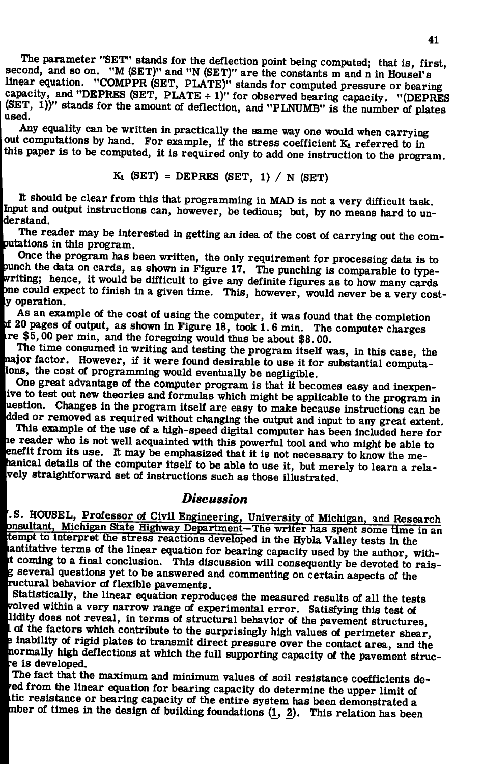**The parameter "SET" stands for the deflection point being computed; that is, first, second, and so on. "M (SET)" and "N (SET)" are the constants m and n in Housel's**  linear equation. "COMPPR (SET, PLATE)" stands for computed pressure or bearing capacity, and "DEPRES (SET, PLATE + 1)" for observed bearing capacity. "(DEPRES **capacity, and "DEPRES (SET, PLATE + 1)" for observed bearing capacity. "(DEPRES**  (Set)  $\frac{1}{2}$  is the amount of deflection, and  $\frac{1}{2}$  involved is the number of plates

Any equality can be written in practically the same way one would when carrying out computations by hand. For example, if the stress coefficient **K**<sub>1</sub> referred to in this paper is to be computed, it is required only to add one instruction to the progra **this paper is to be computed, it is required only to add one instruction to the program.** 

$$
K_1 \quad (SET) = DEPRES \quad (SET, 1) / N \quad (SET)
$$

**It should be clear from this that programming in MAD is not a very difficult task.**  Input and output instructions can, however, be tedious; but, by no means hard to un-**Iderstand.** 

**The reader may be interested in getting an idea of the cost of carrying out the computations in this** *prograna.* 

**Once the program has been written, the only requirement for processing data is to junch the data on cards, as shown in Figure 17. The punching is comparable to typewriting; hence, it would be difficult to give any definite figures as to how many cards me could expect to finish in a given time. This, however, would never be a very cost- " operation.** 

**As an example of the cost of using the computer, it was found that the completion |>f 20 pages of output, as shown in Figure 18, took 1. 6 min. The computer charges '.re \$5,00 per min, and the foregoing would thus be about \$8.00.** 

**The time consumed in writing and testing the program itself was, in this case, the hajor factor. However, if it were found desirable to use it for substantial computa-Uons, the cost of programming would eventually be negligible.** 

**' One great advantage of the computer program is that it becomes easy and inexpenive to test out new theories and formulas which might be applicable to the program in uestion. Changes in the program itself are easy to make because instructions can be dded or removed as required without changing the output and input to any great extent.** 

**This example of the use of a high-speed digital computer has been included here for lie reader who is not well acquainted with this powerful tool and who might be able to**  enefit from its use. It may be emphasized that it is not necessary to know the me-**Ihanical details of the computer itself to be able to use it, but merely to learn a rela- ^vely straightforward set of instructions such as those illustrated.** 

## *Discussion*

**'.S. HOUSEL, Professor of Civil Engineering, University of Michigan, and Research lonsultant, Michigan State Highway Department—The writer has spent some time in an •tempt to interpret the stress reactions developed in the Hybla Valley tests in the**  antitative terms of the linear equation for bearing capacity used by the author, with**it coming to a final conclusion. This discussion will consequently be devoted to raisg several questions yet to be answered and commenting on certain aspects of the wuctural behavior of flexible pavements.** 

<sup>I</sup> **Statistically, the linear equation reproduces the measured results of all the tests wolved within a very narrow range of experimental error. Satisfying this test of %ldity does not reveal, in terms of structural behavior of the pavement structures, i of the factors which contribute to the surprisingly high values of perimeter shear,**  *m* **inability of rigid plates to transmit direct pressure over the contact area, and the normally high deflections at which the full supporting capacity of the pavement struc- |:e is developed.** 

**The fact that the maximum and minimum values of soil resistance coefficients deed from the linear equation for bearing capacity do determine the upper limit of ,tic resistance or bearing capacity of the entire system has been demonstrated a nber of times in the design of building foundations (1^, 2). This relation has been**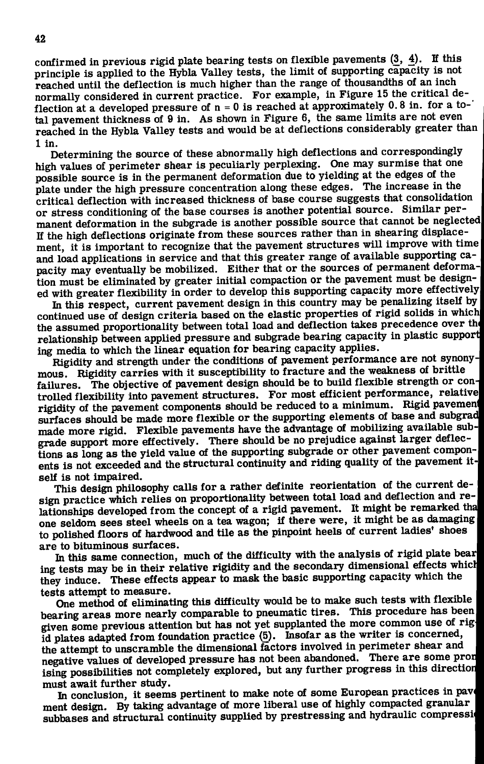confirmed in previous rigid plate bearing tests on flexible pavements  $(3, 4)$ . If this principle is applied to the Hybla Valley tests, the limit of supporting capacity is not **reached until the deflection is much higher than the range of thousandths of an inch normally considered in current practice. For example, in Figure 15 the critical deflection at a developed pressure of n = 0 is reached at approximately 0.8 in. for a total pavement thickness of 9 in. As shown in Figure 6, the same limits are not even reached in the Hybla Valley tests and would be at deflections considerably greater than 1 in.** 

**Determining the source of these abnormally high deflections and correspondingly high values of perimeter shear is peculiarly perplexing. One may surmise that one possible source is in the permanent deformation due to yielding at the edges of the**  plate under the high pressure concentration along these edges. The increase in the **critical deflection with increased thickness of base course suggests that consolidation or stress conditioning of the base courses is another potential source. Similar permanent deformation in the subgrade is another possible source that cannot be neglected**  If the high deflections originate from these sources rather than in shearing displace**ment, it is important to recognize that the pavement structures will improve with time and load applications in service and that this greater range of available supporting capacity may eventually be mobilized. Either that or the sources of permanent deformation must be eliminated by greater initial compaction or the pavement must be designed with greater flexibility in order to develop this supporting capacity more effectively** 

In this respect, current pavement design in this country may be penalizing itself by **continued use of design criteria based on the elastic properties of rigid solids in which the assumed proportionality between total load and deflection takes precedence over th relationship between applied pressure and subgrade bearing capacity in plastic support ing media to which the linear equation for bearing capacity applies.** 

**Rigidity and strength under the conditions of pavement performance are not synonymous. Rigidity carries with it susceptibility to fracture and the weakness of brittle failures. The objective of pavement design should be to build flexible strength or controlled flexibility into pavement structures. For most efficient performance, relative**  rigidity of the pavement components should be reduced to a minimum. Rigid pavement **surfaces should be made more flexible or the supporting elements of base and subgrad**  made more rigid. Flexible pavements have the advantage of mobilizing available sub**grade support more effectively. There should be no prejudice against larger deflections as long as the yield value of the supporting subgrade or other pavement components is not exceeded and the structural continuity and riding quality of the pavement itself is not impaired.** 

**This design philosophy calls for a rather definite reorientation of the current design practice which relies on proportionality between total load and deflection and re**lationships developed from the concept of a rigid pavement. It might be remarked tha one seldom sees steel wheels on a tea wagon; if there were, it might be as damaging **to polished floors of hardwood and tile as the pinpoint heels of current ladies' shoes '** 

**are to bituminous surfaces.**  ing tests may be in their relative rigidity and the secondary dimensional effects which ing tests may be in their relative rigidity and the secondary dimensional effects which<br>If you induce a **These offects annoy to mask the basic supporting capacity which the** they induce. These effects appear to mask the basic supporting capacity which the '<br>tasks attempt to mongure.

**tests attempt to measure.**  bearing areas more nearly comparable to pneumatic tires. This procedure has been given some previous attention but has not yet supplanted the more common use of rigid plates adapted from foundation practice (5). Insofar as the writer is concerned, the attempt to unscramble the dimensional factors involved in perimeter shear and negative values of developed pressure has not been abandoned. There are some pron negative values of developed pressure has not been abandoned. There are some promised<br>integrated in the some product of a product of the area of the progress in this direction **ising possibilities not completely explored, but any further progress in this direction** 

**must await further study.**  ment design. By taking advantage of more liberal use of highly compacted granular ment design. By taking advantage of more inclusion of m<sub>ore</sub> compacted gramming<br>cubbages and structural continuity sunnlied by prestressing and hydraulic compressi **subbases and structural continuity supplied by prestressing and hydraulic compressi**